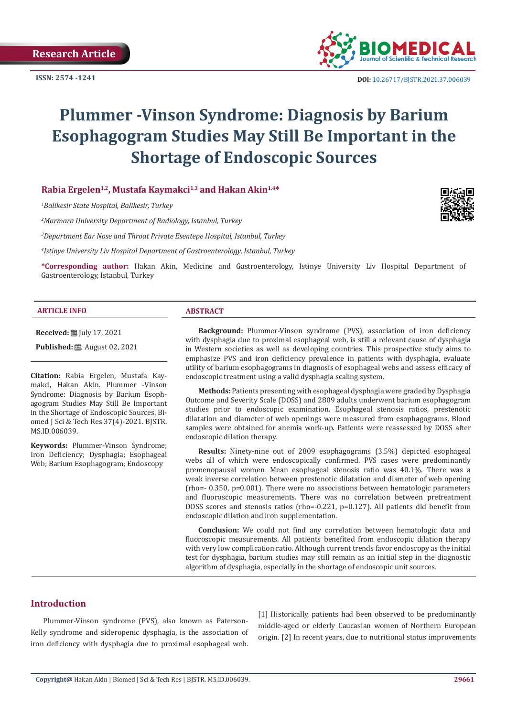

 **DOI:** [10.26717/BJSTR.2021.37.006039](https://dx.doi.org/10.26717/BJSTR.2021.37.006039)

# **Plummer -Vinson Syndrome: Diagnosis by Barium Esophagogram Studies May Still Be Important in the Shortage of Endoscopic Sources**

**Rabia Ergelen1,2, Mustafa Kaymakci1,3 and Hakan Akin1,4\***

*1 Balikesir State Hospital, Balikesir, Turkey*

*2 Marmara University Department of Radiology, Istanbul, Turkey*

*3 Department Ear Nose and Throat Private Esentepe Hospital, Istanbul, Turkey*

*4 Istinye University Liv Hospital Department of Gastroenterology, Istanbul, Turkey*

**\*Corresponding author:** Hakan Akin, Medicine and Gastroenterology, Istinye University Liv Hospital Department of Gastroenterology, Istanbul, Turkey

#### **ARTICLE INFO ABSTRACT**

**Received:** [Uly 17, 2021]

**Published:** ■ August 02, 2021

**Citation:** Rabia Ergelen, Mustafa Kaymakci, Hakan Akin. Plummer -Vinson Syndrome: Diagnosis by Barium Esophagogram Studies May Still Be Important in the Shortage of Endoscopic Sources. Biomed J Sci & Tech Res 37(4)-2021. BJSTR. MS.ID.006039.

**Keywords:** Plummer-Vinson Syndrome; Iron Deficiency; Dysphagia; Esophageal Web; Barium Esophagogram; Endoscopy

**Background:** Plummer-Vinson syndrome (PVS), association of iron deficiency with dysphagia due to proximal esophageal web, is still a relevant cause of dysphagia in Western societies as well as developing countries. This prospective study aims to emphasize PVS and iron deficiency prevalence in patients with dysphagia, evaluate utility of barium esophagograms in diagnosis of esophageal webs and assess efficacy of endoscopic treatment using a valid dysphagia scaling system.

**Methods:** Patients presenting with esophageal dysphagia were graded by Dysphagia Outcome and Severity Scale (DOSS) and 2809 adults underwent barium esophagogram studies prior to endoscopic examination. Esophageal stenosis ratios, prestenotic dilatation and diameter of web openings were measured from esophagograms. Blood samples were obtained for anemia work-up. Patients were reassessed by DOSS after endoscopic dilation therapy.

**Results:** Ninety-nine out of 2809 esophagograms (3.5%) depicted esophageal webs all of which were endoscopically confirmed. PVS cases were predominantly premenopausal women. Mean esophageal stenosis ratio was 40.1%. There was a weak inverse correlation between prestenotic dilatation and diameter of web opening (rho=- 0.350, p=0.001). There were no associations between hematologic parameters and fluoroscopic measurements. There was no correlation between pretreatment DOSS scores and stenosis ratios (rho=-0.221, p=0.127). All patients did benefit from endoscopic dilation and iron supplementation.

**Conclusion:** We could not find any correlation between hematologic data and fluoroscopic measurements. All patients benefited from endoscopic dilation therapy with very low complication ratio. Although current trends favor endoscopy as the initial test for dysphagia, barium studies may still remain as an initial step in the diagnostic algorithm of dysphagia, especially in the shortage of endoscopic unit sources.

# **Introduction**

Plummer-Vinson syndrome (PVS), also known as Paterson-Kelly syndrome and sideropenic dysphagia, is the association of iron deficiency with dysphagia due to proximal esophageal web.

[1] Historically, patients had been observed to be predominantly middle-aged or elderly Caucasian women of Northern European origin. [2] In recent years, due to nutritional status improvements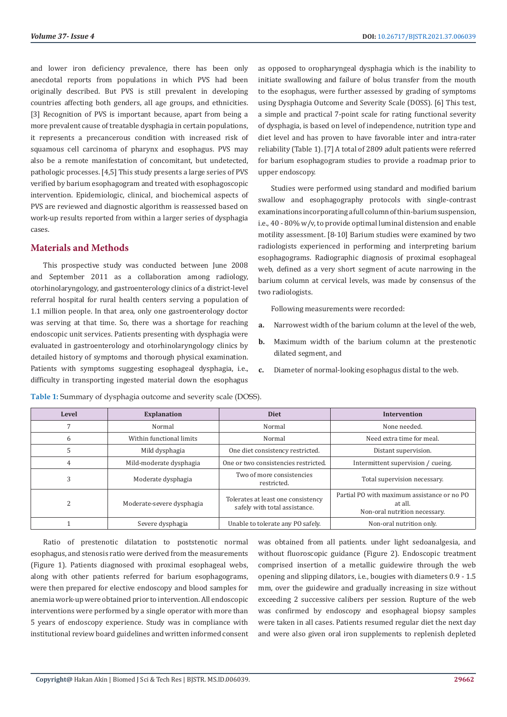and lower iron deficiency prevalence, there has been only anecdotal reports from populations in which PVS had been originally described. But PVS is still prevalent in developing countries affecting both genders, all age groups, and ethnicities. [3] Recognition of PVS is important because, apart from being a more prevalent cause of treatable dysphagia in certain populations, it represents a precancerous condition with increased risk of squamous cell carcinoma of pharynx and esophagus. PVS may also be a remote manifestation of concomitant, but undetected, pathologic processes. [4,5] This study presents a large series of PVS verified by barium esophagogram and treated with esophagoscopic intervention. Epidemiologic, clinical, and biochemical aspects of PVS are reviewed and diagnostic algorithm is reassessed based on work-up results reported from within a larger series of dysphagia cases.

# **Materials and Methods**

This prospective study was conducted between June 2008 and September 2011 as a collaboration among radiology, otorhinolaryngology, and gastroenterology clinics of a district-level referral hospital for rural health centers serving a population of 1.1 million people. In that area, only one gastroenterology doctor was serving at that time. So, there was a shortage for reaching endoscopic unit services. Patients presenting with dysphagia were evaluated in gastroenterology and otorhinolaryngology clinics by detailed history of symptoms and thorough physical examination. Patients with symptoms suggesting esophageal dysphagia, i.e., difficulty in transporting ingested material down the esophagus

as opposed to oropharyngeal dysphagia which is the inability to initiate swallowing and failure of bolus transfer from the mouth to the esophagus, were further assessed by grading of symptoms using Dysphagia Outcome and Severity Scale (DOSS). [6] This test, a simple and practical 7-point scale for rating functional severity of dysphagia, is based on level of independence, nutrition type and diet level and has proven to have favorable inter and intra-rater reliability (Table 1). [7] A total of 2809 adult patients were referred for barium esophagogram studies to provide a roadmap prior to upper endoscopy.

Studies were performed using standard and modified barium swallow and esophagography protocols with single-contrast examinations incorporating a full column of thin-barium suspension, i.e., 40 - 80% w/v, to provide optimal luminal distension and enable motility assessment. [8-10] Barium studies were examined by two radiologists experienced in performing and interpreting barium esophagograms. Radiographic diagnosis of proximal esophageal web, defined as a very short segment of acute narrowing in the barium column at cervical levels, was made by consensus of the two radiologists.

Following measurements were recorded:

- **a.** Narrowest width of the barium column at the level of the web,
- **b.** Maximum width of the barium column at the prestenotic dilated segment, and
- **c.** Diameter of normal-looking esophagus distal to the web.

| Level                    | <b>Explanation</b>        | <b>Diet</b>                                                         | <b>Intervention</b>                                                                     |  |
|--------------------------|---------------------------|---------------------------------------------------------------------|-----------------------------------------------------------------------------------------|--|
|                          | Normal                    | Normal                                                              | None needed.                                                                            |  |
| 6                        | Within functional limits  | Normal                                                              | Need extra time for meal.                                                               |  |
| 5                        | Mild dysphagia            | One diet consistency restricted.                                    | Distant supervision.                                                                    |  |
| 4                        | Mild-moderate dysphagia   | One or two consistencies restricted.                                | Intermittent supervision / cueing.                                                      |  |
| 3                        | Moderate dysphagia        | Two of more consistencies<br>restricted.                            | Total supervision necessary.                                                            |  |
| $\overline{\mathcal{L}}$ | Moderate-severe dysphagia | Tolerates at least one consistency<br>safely with total assistance. | Partial PO with maximum assistance or no PO<br>at all.<br>Non-oral nutrition necessary. |  |
|                          | Severe dysphagia          | Unable to tolerate any PO safely.                                   | Non-oral nutrition only.                                                                |  |

**Table 1:** Summary of dysphagia outcome and severity scale (DOSS).

Ratio of prestenotic dilatation to poststenotic normal esophagus, and stenosis ratio were derived from the measurements (Figure 1). Patients diagnosed with proximal esophageal webs, along with other patients referred for barium esophagograms, were then prepared for elective endoscopy and blood samples for anemia work-up were obtained prior to intervention. All endoscopic interventions were performed by a single operator with more than 5 years of endoscopy experience. Study was in compliance with institutional review board guidelines and written informed consent

was obtained from all patients. under light sedoanalgesia, and without fluoroscopic guidance (Figure 2). Endoscopic treatment comprised insertion of a metallic guidewire through the web opening and slipping dilators, i.e., bougies with diameters 0.9 - 1.5 mm, over the guidewire and gradually increasing in size without exceeding 2 successive calibers per session. Rupture of the web was confirmed by endoscopy and esophageal biopsy samples were taken in all cases. Patients resumed regular diet the next day and were also given oral iron supplements to replenish depleted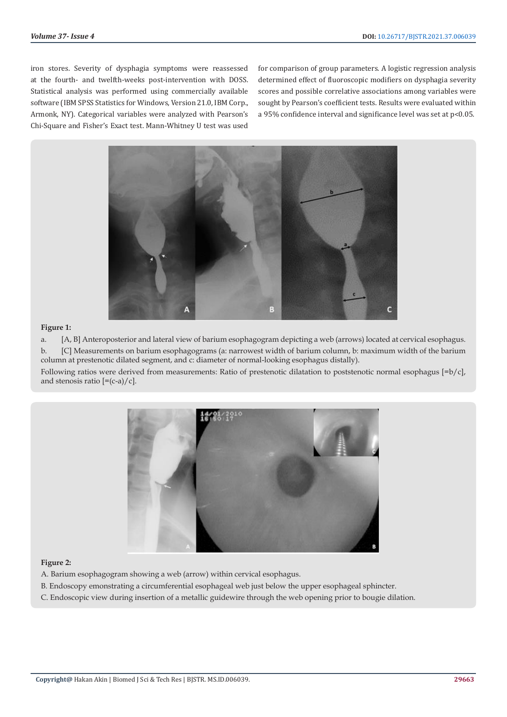iron stores. Severity of dysphagia symptoms were reassessed at the fourth- and twelfth-weeks post-intervention with DOSS. Statistical analysis was performed using commercially available software (IBM SPSS Statistics for Windows, Version 21.0, IBM Corp., Armonk, NY). Categorical variables were analyzed with Pearson's Chi-Square and Fisher's Exact test. Mann-Whitney U test was used

for comparison of group parameters. A logistic regression analysis determined effect of fluoroscopic modifiers on dysphagia severity scores and possible correlative associations among variables were sought by Pearson's coefficient tests. Results were evaluated within a 95% confidence interval and significance level was set at p<0.05.



## **Figure 1:**

a. [A, B] Anteroposterior and lateral view of barium esophagogram depicting a web (arrows) located at cervical esophagus. b. [C] Measurements on barium esophagograms (a: narrowest width of barium column, b: maximum width of the barium column at prestenotic dilated segment, and c: diameter of normal-looking esophagus distally).

Following ratios were derived from measurements: Ratio of prestenotic dilatation to poststenotic normal esophagus [=b/c], and stenosis ratio  $[=(c-a)/c]$ .



## **Figure 2:**

- A. Barium esophagogram showing a web (arrow) within cervical esophagus.
- B. Endoscopy emonstrating a circumferential esophageal web just below the upper esophageal sphincter.
- C. Endoscopic view during insertion of a metallic guidewire through the web opening prior to bougie dilation.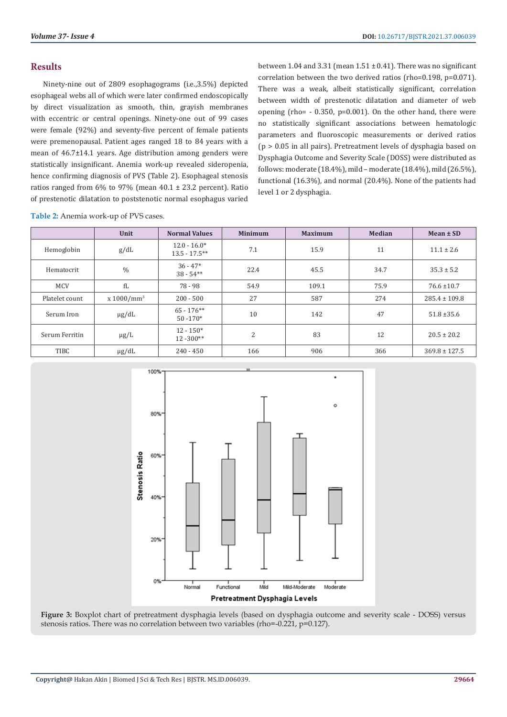# **Results**

Ninety-nine out of 2809 esophagograms (i.e.,3.5%) depicted esophageal webs all of which were later confirmed endoscopically by direct visualization as smooth, thin, grayish membranes with eccentric or central openings. Ninety-one out of 99 cases were female (92%) and seventy-five percent of female patients were premenopausal. Patient ages ranged 18 to 84 years with a mean of 46.7±14.1 years. Age distribution among genders were statistically insignificant. Anemia work-up revealed sideropenia, hence confirming diagnosis of PVS (Table 2). Esophageal stenosis ratios ranged from 6% to 97% (mean 40.1 ± 23.2 percent). Ratio of prestenotic dilatation to poststenotic normal esophagus varied

between 1.04 and 3.31 (mean  $1.51 \pm 0.41$ ). There was no significant correlation between the two derived ratios (rho=0.198, p=0.071). There was a weak, albeit statistically significant, correlation between width of prestenotic dilatation and diameter of web opening (rho= - 0.350, p=0.001). On the other hand, there were no statistically significant associations between hematologic parameters and fluoroscopic measurements or derived ratios (p > 0.05 in all pairs). Pretreatment levels of dysphagia based on Dysphagia Outcome and Severity Scale (DOSS) were distributed as follows: moderate (18.4%), mild – moderate (18.4%), mild (26.5%), functional (16.3%), and normal (20.4%). None of the patients had level 1 or 2 dysphagia.

**Table 2:** Anemia work-up of PVS cases.

|                | Unit          | <b>Normal Values</b>               | <b>Minimum</b> | <b>Maximum</b> | <b>Median</b> | $Mean \pm SD$     |
|----------------|---------------|------------------------------------|----------------|----------------|---------------|-------------------|
| Hemoglobin     | g/dL          | $12.0 - 16.0*$<br>$13.5 - 17.5***$ | 7.1            | 15.9           | 11            | $11.1 \pm 2.6$    |
| Hematocrit     | $\%$          | $36 - 47*$<br>$38 - 54**$          | 22.4           | 45.5           | 34.7          | $35.3 \pm 5.2$    |
| <b>MCV</b>     | fL            | 78 - 98                            | 54.9           | 109.1          | 75.9          | $76.6 \pm 10.7$   |
| Platelet count | $x 1000/mm^3$ | $200 - 500$                        | 27             | 587            | 274           | $285.4 \pm 109.8$ |
| Serum Iron     | $\mu$ g/dL    | $65 - 176$ **<br>$50 - 170*$       | 10             | 142            | 47            | $51.8 \pm 35.6$   |
| Serum Ferritin | $\mu$ g/L     | $12 - 150*$<br>$12 - 300**$        | 2              | 83             | 12            | $20.5 \pm 20.2$   |
| TIBC           | $\mu$ g/dL    | $240 - 450$                        | 166            | 906            | 366           | $369.8 \pm 127.5$ |



**Figure 3:** Boxplot chart of pretreatment dysphagia levels (based on dysphagia outcome and severity scale - DOSS) versus stenosis ratios. There was no correlation between two variables (rho=-0.221, p=0.127).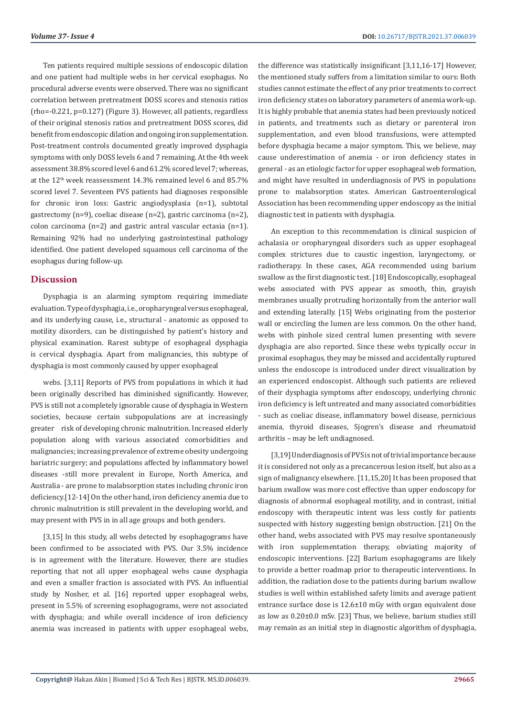Ten patients required multiple sessions of endoscopic dilation and one patient had multiple webs in her cervical esophagus. No procedural adverse events were observed. There was no significant correlation between pretreatment DOSS scores and stenosis ratios (rho=-0.221, p=0.127) (Figure 3). However, all patients, regardless of their original stenosis ratios and pretreatment DOSS scores, did benefit from endoscopic dilation and ongoing iron supplementation. Post-treatment controls documented greatly improved dysphagia symptoms with only DOSS levels 6 and 7 remaining. At the 4th week assessment 38.8% scored level 6 and 61.2% scored level 7; whereas, at the 12th week reassessment 14.3% remained level 6 and 85.7% scored level 7. Seventeen PVS patients had diagnoses responsible for chronic iron loss: Gastric angiodysplasia (n=1), subtotal gastrectomy (n=9), coeliac disease (n=2), gastric carcinoma (n=2), colon carcinoma (n=2) and gastric antral vascular ectasia (n=1). Remaining 92% had no underlying gastrointestinal pathology identified. One patient developed squamous cell carcinoma of the esophagus during follow-up.

# **Discussion**

Dysphagia is an alarming symptom requiring immediate evaluation. Type of dysphagia, i.e., oropharyngeal versus esophageal, and its underlying cause, i.e., structural - anatomic as opposed to motility disorders, can be distinguished by patient's history and physical examination. Rarest subtype of esophageal dysphagia is cervical dysphagia. Apart from malignancies, this subtype of dysphagia is most commonly caused by upper esophageal

webs. [3,11] Reports of PVS from populations in which it had been originally described has diminished significantly. However, PVS is still not a completely ignorable cause of dysphagia in Western societies, because certain subpopulations are at increasingly greater risk of developing chronic malnutrition. Increased elderly population along with various associated comorbidities and malignancies; increasing prevalence of extreme obesity undergoing bariatric surgery; and populations affected by inflammatory bowel diseases -still more prevalent in Europe, North America, and Australia - are prone to malabsorption states including chronic iron deficiency.[12-14] On the other hand, iron deficiency anemia due to chronic malnutrition is still prevalent in the developing world, and may present with PVS in in all age groups and both genders.

[3,15] In this study, all webs detected by esophagograms have been confirmed to be associated with PVS. Our 3.5% incidence is in agreement with the literature. However, there are studies reporting that not all upper esophageal webs cause dysphagia and even a smaller fraction is associated with PVS. An influential study by Nosher, et al. [16] reported upper esophageal webs, present in 5.5% of screening esophagograms, were not associated with dysphagia; and while overall incidence of iron deficiency anemia was increased in patients with upper esophageal webs,

the difference was statistically insignificant [3,11,16-17] However, the mentioned study suffers from a limitation similar to ours: Both studies cannot estimate the effect of any prior treatments to correct iron deficiency states on laboratory parameters of anemia work-up. It is highly probable that anemia states had been previously noticed in patients, and treatments such as dietary or parenteral iron supplementation, and even blood transfusions, were attempted before dysphagia became a major symptom. This, we believe, may cause underestimation of anemia - or iron deficiency states in general - as an etiologic factor for upper esophageal web formation, and might have resulted in underdiagnosis of PVS in populations prone to malabsorption states. American Gastroenterological Association has been recommending upper endoscopy as the initial diagnostic test in patients with dysphagia.

An exception to this recommendation is clinical suspicion of achalasia or oropharyngeal disorders such as upper esophageal complex strictures due to caustic ingestion, laryngectomy, or radiotherapy. In these cases, AGA recommended using barium swallow as the first diagnostic test. [18] Endoscopically, esophageal webs associated with PVS appear as smooth, thin, grayish membranes usually protruding horizontally from the anterior wall and extending laterally. [15] Webs originating from the posterior wall or encircling the lumen are less common. On the other hand, webs with pinhole sized central lumen presenting with severe dysphagia are also reported. Since these webs typically occur in proximal esophagus, they may be missed and accidentally ruptured unless the endoscope is introduced under direct visualization by an experienced endoscopist. Although such patients are relieved of their dysphagia symptoms after endoscopy, underlying chronic iron deficiency is left untreated and many associated comorbidities - such as coeliac disease, inflammatory bowel disease, pernicious anemia, thyroid diseases, Sjogren's disease and rheumatoid arthritis – may be left undiagnosed.

[3,19] Underdiagnosis of PVS is not of trivial importance because it is considered not only as a precancerous lesion itself, but also as a sign of malignancy elsewhere. [11,15,20] It has been proposed that barium swallow was more cost effective than upper endoscopy for diagnosis of abnormal esophageal motility, and in contrast, initial endoscopy with therapeutic intent was less costly for patients suspected with history suggesting benign obstruction. [21] On the other hand, webs associated with PVS may resolve spontaneously with iron supplementation therapy, obviating majority of endoscopic interventions. [22] Barium esophagograms are likely to provide a better roadmap prior to therapeutic interventions. In addition, the radiation dose to the patients during barium swallow studies is well within established safety limits and average patient entrance surface dose is 12.6±10 mGy with organ equivalent dose as low as 0.20±0.0 mSv. [23] Thus, we believe, barium studies still may remain as an initial step in diagnostic algorithm of dysphagia,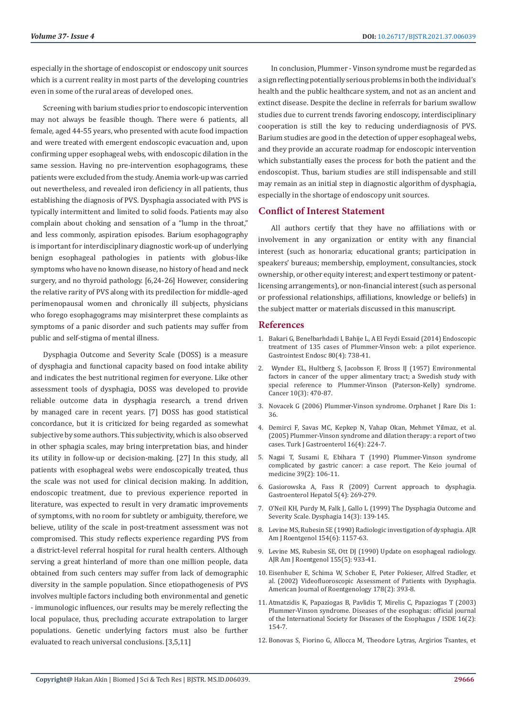especially in the shortage of endoscopist or endoscopy unit sources which is a current reality in most parts of the developing countries even in some of the rural areas of developed ones.

Screening with barium studies prior to endoscopic intervention may not always be feasible though. There were 6 patients, all female, aged 44-55 years, who presented with acute food impaction and were treated with emergent endoscopic evacuation and, upon confirming upper esophageal webs, with endoscopic dilation in the same session. Having no pre-intervention esophagograms, these patients were excluded from the study. Anemia work-up was carried out nevertheless, and revealed iron deficiency in all patients, thus establishing the diagnosis of PVS. Dysphagia associated with PVS is typically intermittent and limited to solid foods. Patients may also complain about choking and sensation of a "lump in the throat," and less commonly, aspiration episodes. Barium esophagography is important for interdisciplinary diagnostic work-up of underlying benign esophageal pathologies in patients with globus-like symptoms who have no known disease, no history of head and neck surgery, and no thyroid pathology. [6,24-26] However, considering the relative rarity of PVS along with its predilection for middle-aged perimenopausal women and chronically ill subjects, physicians who forego esophagograms may misinterpret these complaints as symptoms of a panic disorder and such patients may suffer from public and self-stigma of mental illness.

Dysphagia Outcome and Severity Scale (DOSS) is a measure of dysphagia and functional capacity based on food intake ability and indicates the best nutritional regimen for everyone. Like other assessment tools of dysphagia, DOSS was developed to provide reliable outcome data in dysphagia research, a trend driven by managed care in recent years. [7] DOSS has good statistical concordance, but it is criticized for being regarded as somewhat subjective by some authors. This subjectivity, which is also observed in other sphagia scales, may bring interpretation bias, and hinder its utility in follow-up or decision-making. [27] In this study, all patients with esophageal webs were endoscopically treated, thus the scale was not used for clinical decision making. In addition, endoscopic treatment, due to previous experience reported in literature, was expected to result in very dramatic improvements of symptoms, with no room for subtlety or ambiguity, therefore, we believe, utility of the scale in post-treatment assessment was not compromised. This study reflects experience regarding PVS from a district-level referral hospital for rural health centers. Although serving a great hinterland of more than one million people, data obtained from such centers may suffer from lack of demographic diversity in the sample population. Since etiopathogenesis of PVS involves multiple factors including both environmental and genetic - immunologic influences, our results may be merely reflecting the local populace, thus, precluding accurate extrapolation to larger populations. Genetic underlying factors must also be further evaluated to reach universal conclusions. [3,5,11]

In conclusion, Plummer - Vinson syndrome must be regarded as a sign reflecting potentially serious problems in both the individual's health and the public healthcare system, and not as an ancient and extinct disease. Despite the decline in referrals for barium swallow studies due to current trends favoring endoscopy, interdisciplinary cooperation is still the key to reducing underdiagnosis of PVS. Barium studies are good in the detection of upper esophageal webs, and they provide an accurate roadmap for endoscopic intervention which substantially eases the process for both the patient and the endoscopist. Thus, barium studies are still indispensable and still may remain as an initial step in diagnostic algorithm of dysphagia, especially in the shortage of endoscopy unit sources.

# **Conflict of Interest Statement**

All authors certify that they have no affiliations with or involvement in any organization or entity with any financial interest (such as honoraria; educational grants; participation in speakers' bureaus; membership, employment, consultancies, stock ownership, or other equity interest; and expert testimony or patentlicensing arrangements), or non-financial interest (such as personal or professional relationships, affiliations, knowledge or beliefs) in the subject matter or materials discussed in this manuscript.

## **References**

- 1. [Bakari G, Benelbarhdadi I, Bahije L, A El Feydi Essaid \(2014\) Endoscopic](https://pubmed.ncbi.nlm.nih.gov/25085338/) [treatment of 135 cases of Plummer-Vinson web: a pilot experience.](https://pubmed.ncbi.nlm.nih.gov/25085338/) [Gastrointest Endosc 80\(4\): 738-41.](https://pubmed.ncbi.nlm.nih.gov/25085338/)
- 2. [Wynder EL, Hultberg S, Jacobsson F, Bross IJ \(1957\) Environmental](https://pubmed.ncbi.nlm.nih.gov/13460941/) [factors in cancer of the upper alimentary tract; a Swedish study with](https://pubmed.ncbi.nlm.nih.gov/13460941/) [special reference to Plummer-Vinson \(Paterson-Kelly\) syndrome.](https://pubmed.ncbi.nlm.nih.gov/13460941/) [Cancer 10\(3\): 470-87.](https://pubmed.ncbi.nlm.nih.gov/13460941/)
- 3. [Novacek G \(2006\) Plummer-Vinson syndrome. Orphanet J Rare Dis 1:](https://pubmed.ncbi.nlm.nih.gov/16978405/) [36.](https://pubmed.ncbi.nlm.nih.gov/16978405/)
- 4. [Demirci F, Savas MC, Kepkep N, Vahap Okan, Mehmet Yilmaz, et al.](https://pubmed.ncbi.nlm.nih.gov/16547853/) [\(2005\) Plummer-Vinson syndrome and dilation therapy: a report of two](https://pubmed.ncbi.nlm.nih.gov/16547853/) [cases. Turk J Gastroenterol 16\(4\): 224-7.](https://pubmed.ncbi.nlm.nih.gov/16547853/)
- 5. [Nagai T, Susami E, Ebihara T \(1990\) Plummer-Vinson syndrome](https://pubmed.ncbi.nlm.nih.gov/2214499/) [complicated by gastric cancer: a case report. The Keio journal of](https://pubmed.ncbi.nlm.nih.gov/2214499/) [medicine 39\(2\): 106-11.](https://pubmed.ncbi.nlm.nih.gov/2214499/)
- 6. [Gasiorowska A, Fass R \(2009\) Current approach to dysphagia.](https://www.researchgate.net/publication/242385498_Current_Approach_to_Dysphagia) [Gastroenterol Hepatol 5\(4\): 269-279.](https://www.researchgate.net/publication/242385498_Current_Approach_to_Dysphagia)
- 7. [O'Neil KH, Purdy M, Falk J, Gallo L \(1999\) The Dysphagia Outcome and](https://pubmed.ncbi.nlm.nih.gov/10341109/) [Severity Scale. Dysphagia 14\(3\): 139-145.](https://pubmed.ncbi.nlm.nih.gov/10341109/)
- 8. [Levine MS, Rubesin SE \(1990\) Radiologic investigation of dysphagia. AJR](https://pubmed.ncbi.nlm.nih.gov/2110721/) [Am J Roentgenol 154\(6\): 1157-63.](https://pubmed.ncbi.nlm.nih.gov/2110721/)
- 9. [Levine MS, Rubesin SE, Ott DJ \(1990\) Update on esophageal radiology.](https://pubmed.ncbi.nlm.nih.gov/2120962/) [AJR Am J Roentgenol 155\(5\): 933-41.](https://pubmed.ncbi.nlm.nih.gov/2120962/)
- 10. [Eisenhuber E, Schima W, Schober E, Peter Pokieser, Alfred Stadler, et](https://pubmed.ncbi.nlm.nih.gov/11804901/) [al. \(2002\) Videofluoroscopic Assessment of Patients with Dysphagia.](https://pubmed.ncbi.nlm.nih.gov/11804901/) [American Journal of Roentgenology 178\(2\): 393-8.](https://pubmed.ncbi.nlm.nih.gov/11804901/)
- 11. Atmatzidis K, Papaziogas B, Pavlidis T, Mirelis C, Papaziogas T (2003) Plummer-Vinson syndrome. Diseases of the esophagus: official journal of the International Society for Diseases of the Esophagus / ISDE 16(2): 154-7.
- 12. [Bonovas S, Fiorino G, Allocca M, Theodore Lytras, Argirios Tsantes, et](https://pubmed.ncbi.nlm.nih.gov/26765407/)